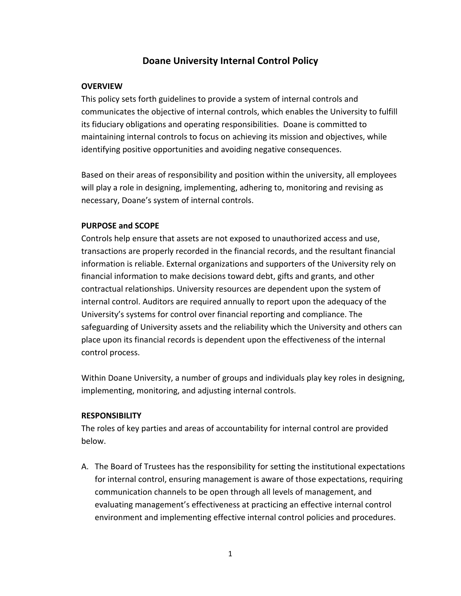# **Doane University Internal Control Policy**

#### **OVERVIEW**

This policy sets forth guidelines to provide a system of internal controls and communicates the objective of internal controls, which enables the University to fulfill its fiduciary obligations and operating responsibilities. Doane is committed to maintaining internal controls to focus on achieving its mission and objectives, while identifying positive opportunities and avoiding negative consequences.

Based on their areas of responsibility and position within the university, all employees will play a role in designing, implementing, adhering to, monitoring and revising as necessary, Doane's system of internal controls.

## **PURPOSE and SCOPE**

Controls help ensure that assets are not exposed to unauthorized access and use, transactions are properly recorded in the financial records, and the resultant financial information is reliable. External organizations and supporters of the University rely on financial information to make decisions toward debt, gifts and grants, and other contractual relationships. University resources are dependent upon the system of internal control. Auditors are required annually to report upon the adequacy of the University's systems for control over financial reporting and compliance. The safeguarding of University assets and the reliability which the University and others can place upon its financial records is dependent upon the effectiveness of the internal control process.

Within Doane University, a number of groups and individuals play key roles in designing, implementing, monitoring, and adjusting internal controls.

#### **RESPONSIBILITY**

The roles of key parties and areas of accountability for internal control are provided below.

A. The Board of Trustees has the responsibility for setting the institutional expectations for internal control, ensuring management is aware of those expectations, requiring communication channels to be open through all levels of management, and evaluating management's effectiveness at practicing an effective internal control environment and implementing effective internal control policies and procedures.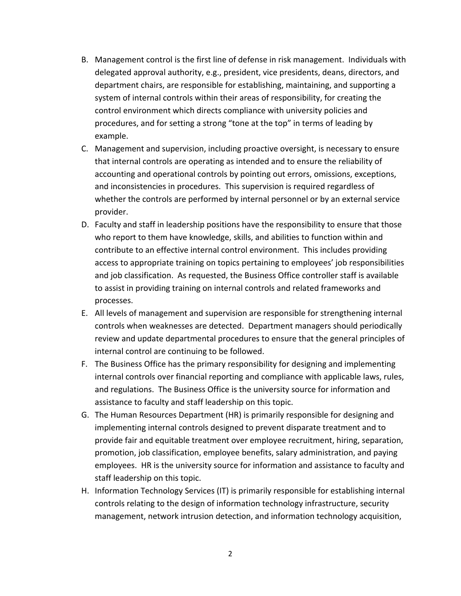- B. Management control is the first line of defense in risk management. Individuals with delegated approval authority, e.g., president, vice presidents, deans, directors, and department chairs, are responsible for establishing, maintaining, and supporting a system of internal controls within their areas of responsibility, for creating the control environment which directs compliance with university policies and procedures, and for setting a strong "tone at the top" in terms of leading by example.
- C. Management and supervision, including proactive oversight, is necessary to ensure that internal controls are operating as intended and to ensure the reliability of accounting and operational controls by pointing out errors, omissions, exceptions, and inconsistencies in procedures. This supervision is required regardless of whether the controls are performed by internal personnel or by an external service provider.
- D. Faculty and staff in leadership positions have the responsibility to ensure that those who report to them have knowledge, skills, and abilities to function within and contribute to an effective internal control environment. This includes providing access to appropriate training on topics pertaining to employees' job responsibilities and job classification. As requested, the Business Office controller staff is available to assist in providing training on internal controls and related frameworks and processes.
- E. All levels of management and supervision are responsible for strengthening internal controls when weaknesses are detected. Department managers should periodically review and update departmental procedures to ensure that the general principles of internal control are continuing to be followed.
- F. The Business Office has the primary responsibility for designing and implementing internal controls over financial reporting and compliance with applicable laws, rules, and regulations. The Business Office is the university source for information and assistance to faculty and staff leadership on this topic.
- G. The Human Resources Department (HR) is primarily responsible for designing and implementing internal controls designed to prevent disparate treatment and to provide fair and equitable treatment over employee recruitment, hiring, separation, promotion, job classification, employee benefits, salary administration, and paying employees. HR is the university source for information and assistance to faculty and staff leadership on this topic.
- H. Information Technology Services (IT) is primarily responsible for establishing internal controls relating to the design of information technology infrastructure, security management, network intrusion detection, and information technology acquisition,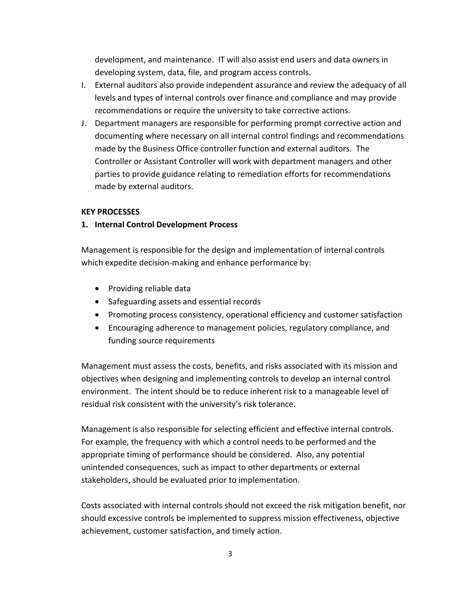development, and maintenance. IT will also assist end users and data owners in developing system, data, file, and program access controls.

- I. External auditors also provide independent assurance and review the adequacy of all levels and types of internal controls over finance and compliance and may provide recommendations or require the university to take corrective actions.
- J. Department managers are responsible for performing prompt corrective action and documenting where necessary on all internal control findings and recommendations made by the Business Office controller function and external auditors. The Controller or Assistant Controller will work with department managers and other parties to provide guidance relating to remediation efforts for recommendations made by external auditors.

#### **KEY PROCESSES**

#### **1. Internal Control Development Process**

Management is responsible for the design and implementation of internal controls which expedite decision-making and enhance performance by:

- Providing reliable data
- Safeguarding assets and essential records
- Promoting process consistency, operational efficiency and customer satisfaction
- Encouraging adherence to management policies, regulatory compliance, and funding source requirements

Management must assess the costs, benefits, and risks associated with its mission and objectives when designing and implementing controls to develop an internal control environment. The intent should be to reduce inherent risk to a manageable level of residual risk consistent with the university's risk tolerance.

Management is also responsible for selecting efficient and effective internal controls. For example, the frequency with which a control needs to be performed and the appropriate timing of performance should be considered. Also, any potential unintended consequences, such as impact to other departments or external stakeholders, should be evaluated prior to implementation.

Costs associated with internal controls should not exceed the risk mitigation benefit, nor should excessive controls be implemented to suppress mission effectiveness, objective achievement, customer satisfaction, and timely action.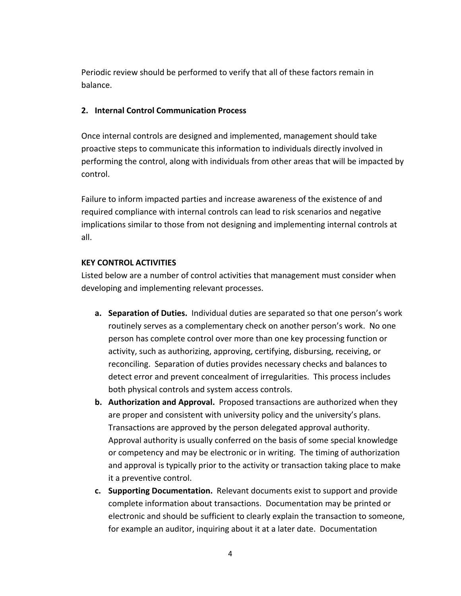Periodic review should be performed to verify that all of these factors remain in balance.

#### **2. Internal Control Communication Process**

Once internal controls are designed and implemented, management should take proactive steps to communicate this information to individuals directly involved in performing the control, along with individuals from other areas that will be impacted by control.

Failure to inform impacted parties and increase awareness of the existence of and required compliance with internal controls can lead to risk scenarios and negative implications similar to those from not designing and implementing internal controls at all.

### **KEY CONTROL ACTIVITIES**

Listed below are a number of control activities that management must consider when developing and implementing relevant processes.

- **a. Separation of Duties.** Individual duties are separated so that one person's work routinely serves as a complementary check on another person's work. No one person has complete control over more than one key processing function or activity, such as authorizing, approving, certifying, disbursing, receiving, or reconciling. Separation of duties provides necessary checks and balances to detect error and prevent concealment of irregularities. This process includes both physical controls and system access controls.
- **b. Authorization and Approval.** Proposed transactions are authorized when they are proper and consistent with university policy and the university's plans. Transactions are approved by the person delegated approval authority. Approval authority is usually conferred on the basis of some special knowledge or competency and may be electronic or in writing. The timing of authorization and approval is typically prior to the activity or transaction taking place to make it a preventive control.
- **c. Supporting Documentation.** Relevant documents exist to support and provide complete information about transactions. Documentation may be printed or electronic and should be sufficient to clearly explain the transaction to someone, for example an auditor, inquiring about it at a later date. Documentation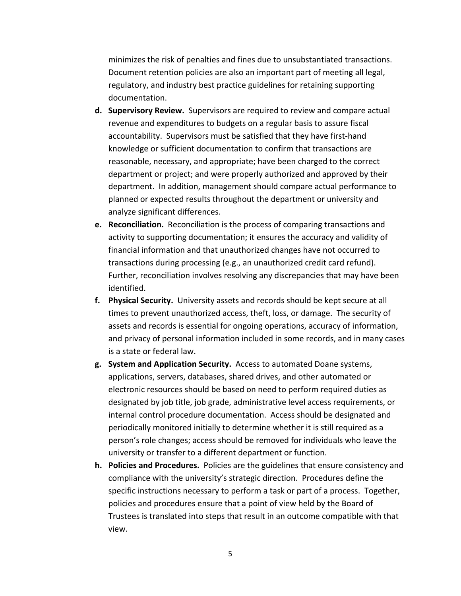minimizes the risk of penalties and fines due to unsubstantiated transactions. Document retention policies are also an important part of meeting all legal, regulatory, and industry best practice guidelines for retaining supporting documentation.

- **d. Supervisory Review.** Supervisors are required to review and compare actual revenue and expenditures to budgets on a regular basis to assure fiscal accountability. Supervisors must be satisfied that they have first-hand knowledge or sufficient documentation to confirm that transactions are reasonable, necessary, and appropriate; have been charged to the correct department or project; and were properly authorized and approved by their department. In addition, management should compare actual performance to planned or expected results throughout the department or university and analyze significant differences.
- **e. Reconciliation.** Reconciliation is the process of comparing transactions and activity to supporting documentation; it ensures the accuracy and validity of financial information and that unauthorized changes have not occurred to transactions during processing (e.g., an unauthorized credit card refund). Further, reconciliation involves resolving any discrepancies that may have been identified.
- **f. Physical Security.** University assets and records should be kept secure at all times to prevent unauthorized access, theft, loss, or damage. The security of assets and records is essential for ongoing operations, accuracy of information, and privacy of personal information included in some records, and in many cases is a state or federal law.
- **g. System and Application Security.** Access to automated Doane systems, applications, servers, databases, shared drives, and other automated or electronic resources should be based on need to perform required duties as designated by job title, job grade, administrative level access requirements, or internal control procedure documentation. Access should be designated and periodically monitored initially to determine whether it is still required as a person's role changes; access should be removed for individuals who leave the university or transfer to a different department or function.
- **h. Policies and Procedures.** Policies are the guidelines that ensure consistency and compliance with the university's strategic direction. Procedures define the specific instructions necessary to perform a task or part of a process. Together, policies and procedures ensure that a point of view held by the Board of Trustees is translated into steps that result in an outcome compatible with that view.